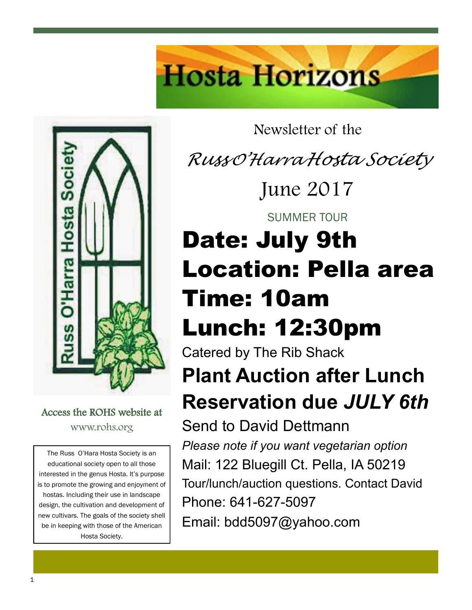



Access the ROHS website at www.rohs.org

The Russ O'Hara Hosta Society is an educational society open to all those interested in the genus Hosta. It's purpose is to promote the growing and enjoyment of hostas. Including their use in landscape design, the cultivation and development of new cultivars. The goals of the society shell be in keeping with those of the American Hosta Society.

Newsletter of the

*Russ <sup>O</sup>'Harra Hosta Society*

June 2017

SUMMER TOUR

# Date: July 9th Location: Pella area Time: 10am Lunch: 12:30pm

Catered by The Rib Shack **Plant Auction after Lunch Reservation due** *JULY 6th*

Send to David Dettmann *Please note if you want vegetarian option* Mail: 122 Bluegill Ct. Pella, IA 50219 Tour/lunch/auction questions. Contact David Phone: 641-627-5097 Email: bdd5097@yahoo.com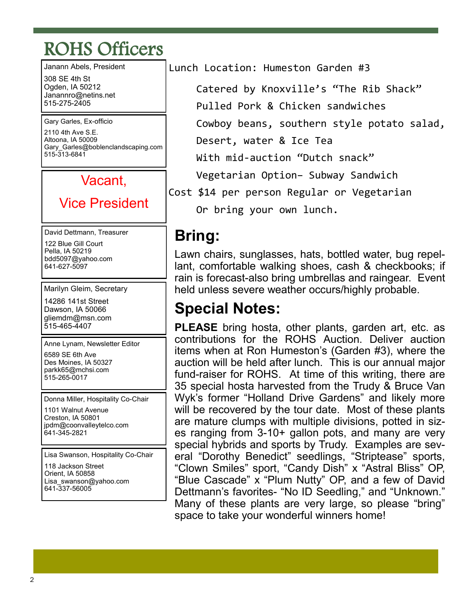## ROHS Officers

Janann Abels, President 308 SE 4th St Ogden, IA 50212 Janannro@netins.net 515-275-2405

Gary Garles, Ex-officio 2110 4th Ave S.E. Altoona, IA 50009 Gary Garles@boblenclandscaping.com 515-313-6841

#### Vacant,

### Vice President

David Dettmann, Treasurer 122 Blue Gill Court Pella, IA 50219 bdd5097@yahoo.com 641-627-5097

Marilyn Gleim, Secretary

14286 141st Street Dawson, IA 50066 gliemdm@msn.com 515-465-4407

Anne Lynam, Newsletter Editor 6589 SE 6th Ave Des Moines, IA 50327 parkk65@mchsi.com 515-265-0017

Donna Miller, Hospitality Co-Chair

1101 Walnut Avenue Creston, IA 50801 jpdm@coonvalleytelco.com 641-345-2821

Lisa Swanson, Hospitality Co-Chair

118 Jackson Street Orient, IA 50858 Lisa swanson@yahoo.com 641-337-56005

Lunch Location: Humeston Garden #3

Catered by Knoxville's "The Rib Shack"

Pulled Pork & Chicken sandwiches

Cowboy beans, southern style potato salad,

Desert, water & Ice Tea

With mid-auction "Dutch snack"

Vegetarian Option– Subway Sandwich

Cost \$14 per person Regular or Vegetarian Or bring your own lunch.

### **Bring:**

Lawn chairs, sunglasses, hats, bottled water, bug repellant, comfortable walking shoes, cash & checkbooks; if rain is forecast-also bring umbrellas and raingear. Event held unless severe weather occurs/highly probable.

### **Special Notes:**

**PLEASE** bring hosta, other plants, garden art, etc. as contributions for the ROHS Auction. Deliver auction items when at Ron Humeston's (Garden #3), where the auction will be held after lunch. This is our annual major fund-raiser for ROHS. At time of this writing, there are 35 special hosta harvested from the Trudy & Bruce Van Wyk's former "Holland Drive Gardens" and likely more will be recovered by the tour date. Most of these plants are mature clumps with multiple divisions, potted in sizes ranging from 3-10+ gallon pots, and many are very special hybrids and sports by Trudy. Examples are several "Dorothy Benedict" seedlings, "Striptease" sports, "Clown Smiles" sport, "Candy Dish" x "Astral Bliss" OP, "Blue Cascade" x "Plum Nutty" OP, and a few of David Dettmann's favorites- "No ID Seedling," and "Unknown." Many of these plants are very large, so please "bring" space to take your wonderful winners home!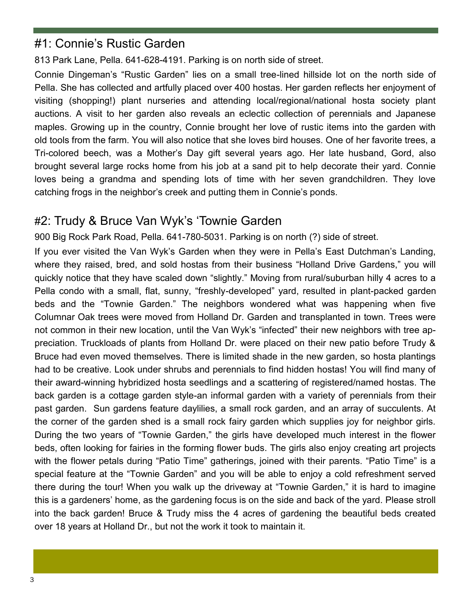#### #1: Connie's Rustic Garden

813 Park Lane, Pella. 641-628-4191. Parking is on north side of street.

Connie Dingeman's "Rustic Garden" lies on a small tree-lined hillside lot on the north side of Pella. She has collected and artfully placed over 400 hostas. Her garden reflects her enjoyment of visiting (shopping!) plant nurseries and attending local/regional/national hosta society plant auctions. A visit to her garden also reveals an eclectic collection of perennials and Japanese maples. Growing up in the country, Connie brought her love of rustic items into the garden with old tools from the farm. You will also notice that she loves bird houses. One of her favorite trees, a Tri-colored beech, was a Mother's Day gift several years ago. Her late husband, Gord, also brought several large rocks home from his job at a sand pit to help decorate their yard. Connie loves being a grandma and spending lots of time with her seven grandchildren. They love catching frogs in the neighbor's creek and putting them in Connie's ponds.

#### #2: Trudy & Bruce Van Wyk's 'Townie Garden

900 Big Rock Park Road, Pella. 641-780-5031. Parking is on north (?) side of street.

If you ever visited the Van Wyk's Garden when they were in Pella's East Dutchman's Landing, where they raised, bred, and sold hostas from their business "Holland Drive Gardens," you will quickly notice that they have scaled down "slightly." Moving from rural/suburban hilly 4 acres to a Pella condo with a small, flat, sunny, "freshly-developed" yard, resulted in plant-packed garden beds and the "Townie Garden." The neighbors wondered what was happening when five Columnar Oak trees were moved from Holland Dr. Garden and transplanted in town. Trees were not common in their new location, until the Van Wyk's "infected" their new neighbors with tree appreciation. Truckloads of plants from Holland Dr. were placed on their new patio before Trudy & Bruce had even moved themselves. There is limited shade in the new garden, so hosta plantings had to be creative. Look under shrubs and perennials to find hidden hostas! You will find many of their award-winning hybridized hosta seedlings and a scattering of registered/named hostas. The back garden is a cottage garden style-an informal garden with a variety of perennials from their past garden. Sun gardens feature daylilies, a small rock garden, and an array of succulents. At the corner of the garden shed is a small rock fairy garden which supplies joy for neighbor girls. During the two years of "Townie Garden," the girls have developed much interest in the flower beds, often looking for fairies in the forming flower buds. The girls also enjoy creating art projects with the flower petals during "Patio Time" gatherings, joined with their parents. "Patio Time" is a special feature at the "Townie Garden" and you will be able to enjoy a cold refreshment served there during the tour! When you walk up the driveway at "Townie Garden," it is hard to imagine this is a gardeners' home, as the gardening focus is on the side and back of the yard. Please stroll into the back garden! Bruce & Trudy miss the 4 acres of gardening the beautiful beds created over 18 years at Holland Dr., but not the work it took to maintain it.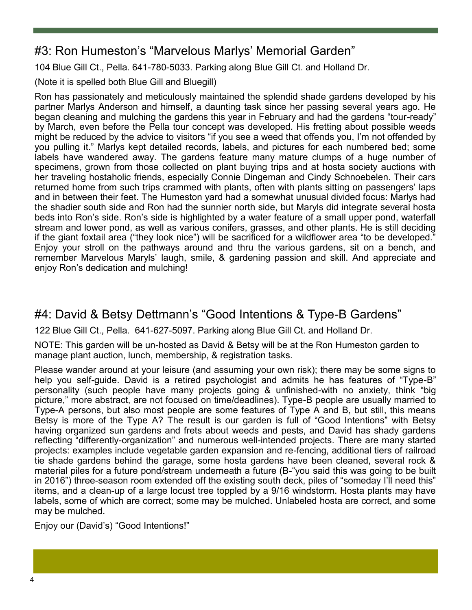#### #3: Ron Humeston's "Marvelous Marlys' Memorial Garden"

104 Blue Gill Ct., Pella. 641-780-5033. Parking along Blue Gill Ct. and Holland Dr.

(Note it is spelled both Blue Gill and Bluegill)

Ron has passionately and meticulously maintained the splendid shade gardens developed by his partner Marlys Anderson and himself, a daunting task since her passing several years ago. He began cleaning and mulching the gardens this year in February and had the gardens "tour-ready" by March, even before the Pella tour concept was developed. His fretting about possible weeds might be reduced by the advice to visitors "if you see a weed that offends you, I'm not offended by you pulling it." Marlys kept detailed records, labels, and pictures for each numbered bed; some labels have wandered away. The gardens feature many mature clumps of a huge number of specimens, grown from those collected on plant buying trips and at hosta society auctions with her traveling hostaholic friends, especially Connie Dingeman and Cindy Schnoebelen. Their cars returned home from such trips crammed with plants, often with plants sitting on passengers' laps and in between their feet. The Humeston yard had a somewhat unusual divided focus: Marlys had the shadier south side and Ron had the sunnier north side, but Maryls did integrate several hosta beds into Ron's side. Ron's side is highlighted by a water feature of a small upper pond, waterfall stream and lower pond, as well as various conifers, grasses, and other plants. He is still deciding if the giant foxtail area ("they look nice") will be sacrificed for a wildflower area "to be developed." Enjoy your stroll on the pathways around and thru the various gardens, sit on a bench, and remember Marvelous Maryls' laugh, smile, & gardening passion and skill. And appreciate and enjoy Ron's dedication and mulching!

#### #4: David & Betsy Dettmann's "Good Intentions & Type-B Gardens"

122 Blue Gill Ct., Pella. 641-627-5097. Parking along Blue Gill Ct. and Holland Dr.

NOTE: This garden will be un-hosted as David & Betsy will be at the Ron Humeston garden to manage plant auction, lunch, membership, & registration tasks.

Please wander around at your leisure (and assuming your own risk); there may be some signs to help you self-guide. David is a retired psychologist and admits he has features of "Type-B" personality (such people have many projects going & unfinished-with no anxiety, think "big picture," more abstract, are not focused on time/deadlines). Type-B people are usually married to Type-A persons, but also most people are some features of Type A and B, but still, this means Betsy is more of the Type A? The result is our garden is full of "Good Intentions" with Betsy having organized sun gardens and frets about weeds and pests, and David has shady gardens reflecting "differently-organization" and numerous well-intended projects. There are many started projects: examples include vegetable garden expansion and re-fencing, additional tiers of railroad tie shade gardens behind the garage, some hosta gardens have been cleaned, several rock & material piles for a future pond/stream underneath a future (B-"you said this was going to be built in 2016") three-season room extended off the existing south deck, piles of "someday I'll need this" items, and a clean-up of a large locust tree toppled by a 9/16 windstorm. Hosta plants may have labels, some of which are correct; some may be mulched. Unlabeled hosta are correct, and some may be mulched.

Enjoy our (David's) "Good Intentions!"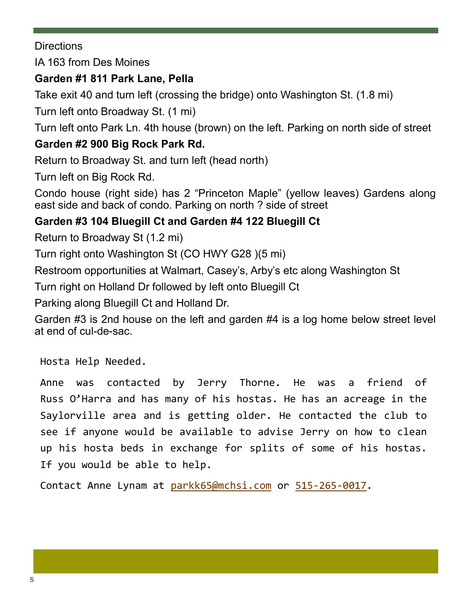**Directions** 

IA 163 from Des Moines

#### **Garden #1 811 Park Lane, Pella**

Take exit 40 and turn left (crossing the bridge) onto Washington St. (1.8 mi)

Turn left onto Broadway St. (1 mi)

Turn left onto Park Ln. 4th house (brown) on the left. Parking on north side of street

#### **Garden #2 900 Big Rock Park Rd.**

Return to Broadway St. and turn left (head north)

Turn left on Big Rock Rd.

Condo house (right side) has 2 "Princeton Maple" (yellow leaves) Gardens along east side and back of condo. Parking on north ? side of street

#### **Garden #3 104 Bluegill Ct and Garden #4 122 Bluegill Ct**

Return to Broadway St (1.2 mi)

Turn right onto Washington St (CO HWY G28 )(5 mi)

Restroom opportunities at Walmart, Casey's, Arby's etc along Washington St

Turn right on Holland Dr followed by left onto Bluegill Ct

Parking along Bluegill Ct and Holland Dr.

Garden #3 is 2nd house on the left and garden #4 is a log home below street level at end of cul-de-sac.

Hosta Help Needed.

Anne was contacted by Jerry Thorne. He was a friend of Russ O'Harra and has many of his hostas. He has an acreage in the Saylorville area and is getting older. He contacted the club to see if anyone would be available to advise Jerry on how to clean up his hosta beds in exchange for splits of some of his hostas. If you would be able to help.

Contact Anne Lynam at [parkk65@mchsi.com](mailto:parkk65@mchsi.com) or 515-265-[0017.](tel:(515)%20265-0017)